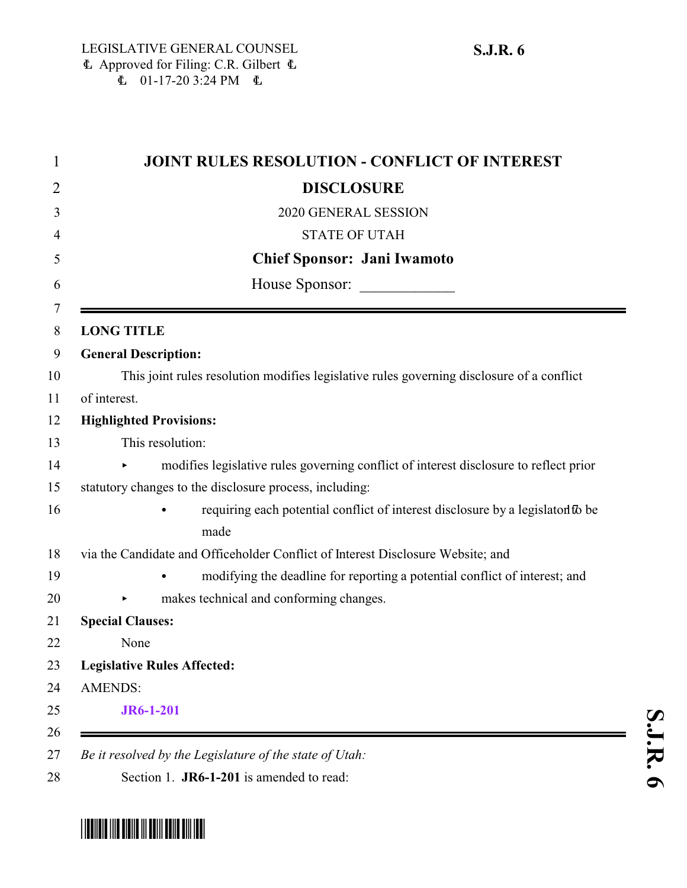| <b>JOINT RULES RESOLUTION - CONFLICT OF INTEREST</b>                                      |
|-------------------------------------------------------------------------------------------|
| <b>DISCLOSURE</b>                                                                         |
| 2020 GENERAL SESSION                                                                      |
| <b>STATE OF UTAH</b>                                                                      |
| <b>Chief Sponsor: Jani Iwamoto</b>                                                        |
| House Sponsor:                                                                            |
| <b>LONG TITLE</b>                                                                         |
| <b>General Description:</b>                                                               |
| This joint rules resolution modifies legislative rules governing disclosure of a conflict |
| of interest.                                                                              |
| <b>Highlighted Provisions:</b>                                                            |
| This resolution:                                                                          |
| modifies legislative rules governing conflict of interest disclosure to reflect prior     |
| statutory changes to the disclosure process, including:                                   |
| requiring each potential conflict of interest disclosure by a legislator to be<br>made    |
| via the Candidate and Officeholder Conflict of Interest Disclosure Website; and           |
| modifying the deadline for reporting a potential conflict of interest; and                |
| makes technical and conforming changes.                                                   |
| <b>Special Clauses:</b>                                                                   |
| None                                                                                      |
| <b>Legislative Rules Affected:</b>                                                        |
| <b>AMENDS:</b>                                                                            |
| <b>JR6-1-201</b>                                                                          |
|                                                                                           |

<span id="page-0-0"></span>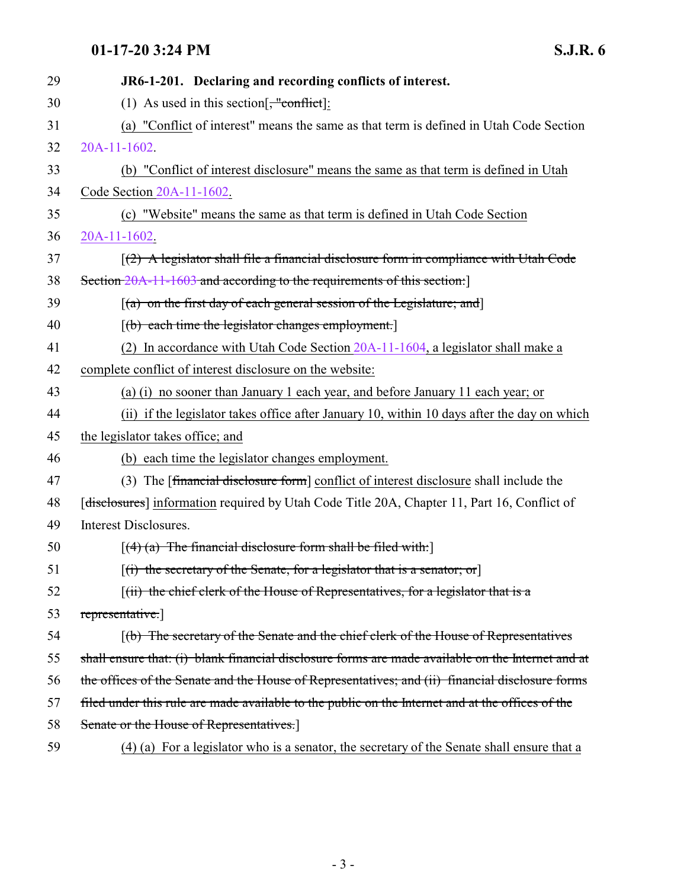## **01-17-20 3:24 PM S.J.R. 6**

| 29 | JR6-1-201. Declaring and recording conflicts of interest.                                         |
|----|---------------------------------------------------------------------------------------------------|
| 30 | (1) As used in this section $\frac{4}{5}$ "conflict]:                                             |
| 31 | (a) "Conflict of interest" means the same as that term is defined in Utah Code Section            |
| 32 | 20A-11-1602.                                                                                      |
| 33 | (b) "Conflict of interest disclosure" means the same as that term is defined in Utah              |
| 34 | Code Section 20A-11-1602.                                                                         |
| 35 | (c) "Website" means the same as that term is defined in Utah Code Section                         |
| 36 | $20A-11-1602$ .                                                                                   |
| 37 | $(2)$ A legislator shall file a financial disclosure form in compliance with Utah Code            |
| 38 | Section 20A-11-1603 and according to the requirements of this section:                            |
| 39 | $\left[$ (a) on the first day of each general session of the Legislature; and                     |
| 40 | [(b) each time the legislator changes employment.]                                                |
| 41 | (2) In accordance with Utah Code Section $20A-11-1604$ , a legislator shall make a                |
| 42 | complete conflict of interest disclosure on the website:                                          |
| 43 | (a) (i) no sooner than January 1 each year, and before January 11 each year; or                   |
| 44 | (ii) if the legislator takes office after January 10, within 10 days after the day on which       |
| 45 | the legislator takes office; and                                                                  |
| 46 | (b) each time the legislator changes employment.                                                  |
| 47 | (3) The [financial disclosure form] conflict of interest disclosure shall include the             |
| 48 | [disclosures] information required by Utah Code Title 20A, Chapter 11, Part 16, Conflict of       |
| 49 | Interest Disclosures.                                                                             |
| 50 | $[(4)$ (a) The financial disclosure form shall be filed with:                                     |
| 51 | $[(i)$ the secretary of the Senate, for a legislator that is a senator; or                        |
| 52 | $(iii)$ the chief clerk of the House of Representatives, for a legislator that is a               |
| 53 | representative.                                                                                   |
| 54 | (b) The secretary of the Senate and the chief clerk of the House of Representatives               |
| 55 | shall ensure that: (i) blank financial disclosure forms are made available on the Internet and at |
| 56 | the offices of the Senate and the House of Representatives; and (ii) financial disclosure forms   |
| 57 | filed under this rule are made available to the public on the Internet and at the offices of the  |
| 58 | Senate or the House of Representatives.                                                           |
|    |                                                                                                   |

59 (4) (a) For a legislator who is a senator, the secretary of the Senate shall ensure that a